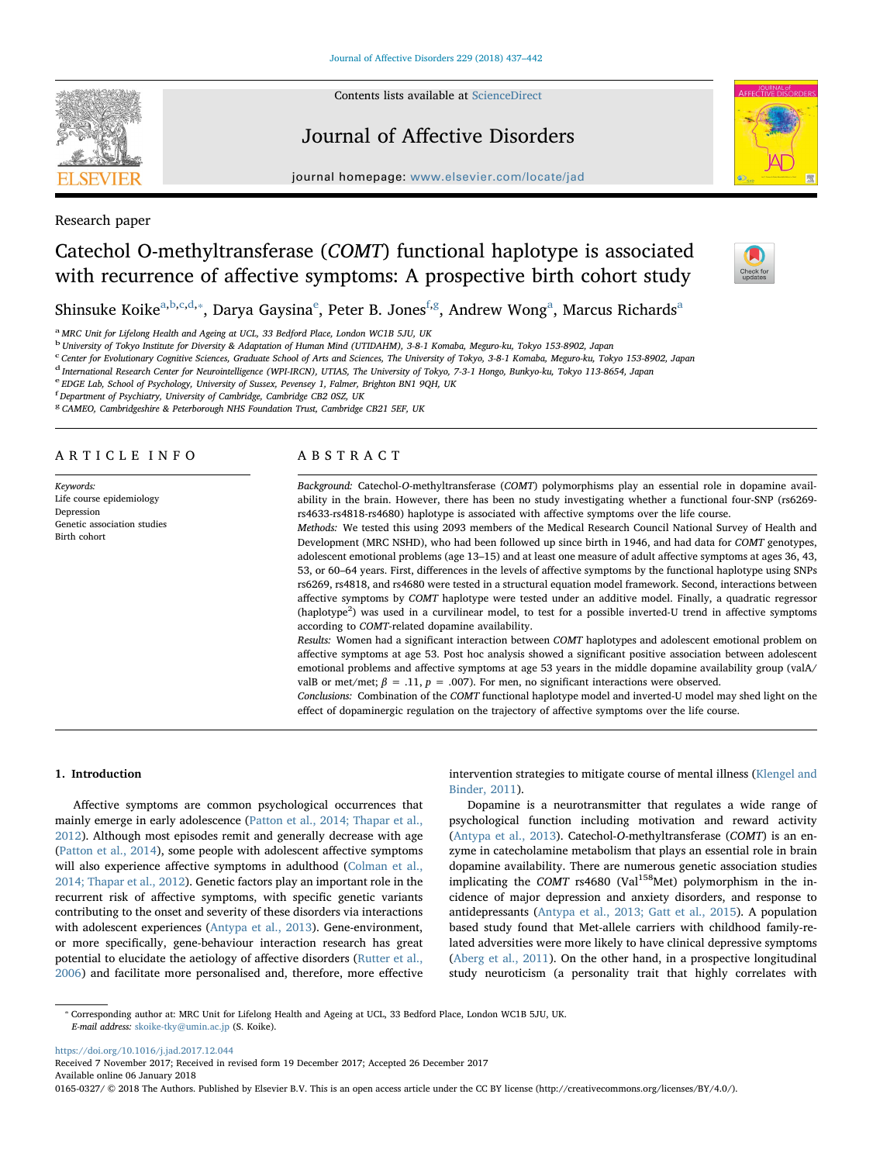Contents lists available at [ScienceDirect](http://www.sciencedirect.com/science/journal/01650327)

# Journal of Affective Disorders

journal homepage: [www.elsevier.com/locate/jad](https://www.elsevier.com/locate/jad)



Research paper

# Catechol O-methyltransferase (COMT) functional haplotype is associated with recurrence of affective symptoms: A prospective birth cohort study



Shinsuk[e](#page-0-5) Koike $^{\mathrm{a,b,c,d,*}}$  $^{\mathrm{a,b,c,d,*}}$  $^{\mathrm{a,b,c,d,*}}$  $^{\mathrm{a,b,c,d,*}}$  $^{\mathrm{a,b,c,d,*}}$  $^{\mathrm{a,b,c,d,*}}$  $^{\mathrm{a,b,c,d,*}}$ , Darya Gaysina $^{\mathrm{e}}$ , Peter B. Jones $^{\mathrm{f,g}}$  $^{\mathrm{f,g}}$  $^{\mathrm{f,g}}$  $^{\mathrm{f,g}}$  $^{\mathrm{f,g}}$ , Andrew Wong $^{\mathrm{a}}$ , Marcus Richards $^{\mathrm{a}}$ 

<span id="page-0-0"></span><sup>a</sup> MRC Unit for Lifelong Health and Ageing at UCL, 33 Bedford Place, London WC1B 5JU, UK

<span id="page-0-1"></span><sup>b</sup> University of Tokyo Institute for Diversity & Adaptation of Human Mind (UTIDAHM), 3-8-1 Komaba, Meguro-ku, Tokyo 153-8902, Japan

<span id="page-0-2"></span>c Center for Evolutionary Cognitive Sciences, Graduate School of Arts and Sciences, The University of Tokyo, 3-8-1 Komaba, Meguro-ku, Tokyo 153-8902, Japan

<span id="page-0-3"></span><sup>d</sup> International Research Center for Neurointelligence (WPI-IRCN), UTIAS, The University of Tokyo, 7-3-1 Hongo, Bunkyo-ku, Tokyo 113-8654, Japan

<span id="page-0-5"></span><sup>e</sup> EDGE Lab, School of Psychology, University of Sussex, Pevensey 1, Falmer, Brighton BN1 9QH, UK

<span id="page-0-6"></span>f Department of Psychiatry, University of Cambridge, Cambridge CB2 0SZ, UK

<span id="page-0-7"></span><sup>g</sup> CAMEO, Cambridgeshire & Peterborough NHS Foundation Trust, Cambridge CB21 5EF, UK

# ARTICLE INFO

Keywords: Life course epidemiology Depression Genetic association studies Birth cohort

# ABSTRACT

Background: Catechol-O-methyltransferase (COMT) polymorphisms play an essential role in dopamine availability in the brain. However, there has been no study investigating whether a functional four-SNP (rs6269 rs4633-rs4818-rs4680) haplotype is associated with affective symptoms over the life course.

Methods: We tested this using 2093 members of the Medical Research Council National Survey of Health and Development (MRC NSHD), who had been followed up since birth in 1946, and had data for COMT genotypes, adolescent emotional problems (age 13–15) and at least one measure of adult affective symptoms at ages 36, 43, 53, or 60–64 years. First, differences in the levels of affective symptoms by the functional haplotype using SNPs rs6269, rs4818, and rs4680 were tested in a structural equation model framework. Second, interactions between affective symptoms by COMT haplotype were tested under an additive model. Finally, a quadratic regressor (haplotype<sup>2</sup>) was used in a curvilinear model, to test for a possible inverted-U trend in affective symptoms according to COMT-related dopamine availability.

Results: Women had a significant interaction between COMT haplotypes and adolescent emotional problem on affective symptoms at age 53. Post hoc analysis showed a significant positive association between adolescent emotional problems and affective symptoms at age 53 years in the middle dopamine availability group (valA/ valB or met/met;  $\beta = .11$ ,  $p = .007$ ). For men, no significant interactions were observed.

Conclusions: Combination of the COMT functional haplotype model and inverted-U model may shed light on the effect of dopaminergic regulation on the trajectory of affective symptoms over the life course.

# 1. Introduction

Affective symptoms are common psychological occurrences that mainly emerge in early adolescence [\(Patton et al., 2014; Thapar et al.,](#page-4-0) [2012\)](#page-4-0). Although most episodes remit and generally decrease with age ([Patton et al., 2014\)](#page-4-0), some people with adolescent affective symptoms will also experience affective symptoms in adulthood ([Colman et al.,](#page-4-1) [2014; Thapar et al., 2012](#page-4-1)). Genetic factors play an important role in the recurrent risk of affective symptoms, with specific genetic variants contributing to the onset and severity of these disorders via interactions with adolescent experiences [\(Antypa et al., 2013\)](#page-4-2). Gene-environment, or more specifically, gene-behaviour interaction research has great potential to elucidate the aetiology of affective disorders [\(Rutter et al.,](#page-5-0) [2006\)](#page-5-0) and facilitate more personalised and, therefore, more effective

intervention strategies to mitigate course of mental illness [\(Klengel and](#page-4-3) [Binder, 2011\)](#page-4-3).

Dopamine is a neurotransmitter that regulates a wide range of psychological function including motivation and reward activity ([Antypa et al., 2013\)](#page-4-2). Catechol-O-methyltransferase (COMT) is an enzyme in catecholamine metabolism that plays an essential role in brain dopamine availability. There are numerous genetic association studies implicating the COMT rs4680 (Val<sup>158</sup>Met) polymorphism in the incidence of major depression and anxiety disorders, and response to antidepressants [\(Antypa et al., 2013; Gatt et al., 2015\)](#page-4-2). A population based study found that Met-allele carriers with childhood family-related adversities were more likely to have clinical depressive symptoms ([Aberg et al., 2011\)](#page-4-4). On the other hand, in a prospective longitudinal study neuroticism (a personality trait that highly correlates with

<https://doi.org/10.1016/j.jad.2017.12.044>

Received 7 November 2017; Received in revised form 19 December 2017; Accepted 26 December 2017 Available online 06 January 2018

0165-0327/ © 2018 The Authors. Published by Elsevier B.V. This is an open access article under the CC BY license (http://creativecommons.org/licenses/BY/4.0/).



<span id="page-0-4"></span><sup>⁎</sup> Corresponding author at: MRC Unit for Lifelong Health and Ageing at UCL, 33 Bedford Place, London WC1B 5JU, UK. E-mail address: [skoike-tky@umin.ac.jp](mailto:skoike-tky@umin.ac.jp) (S. Koike).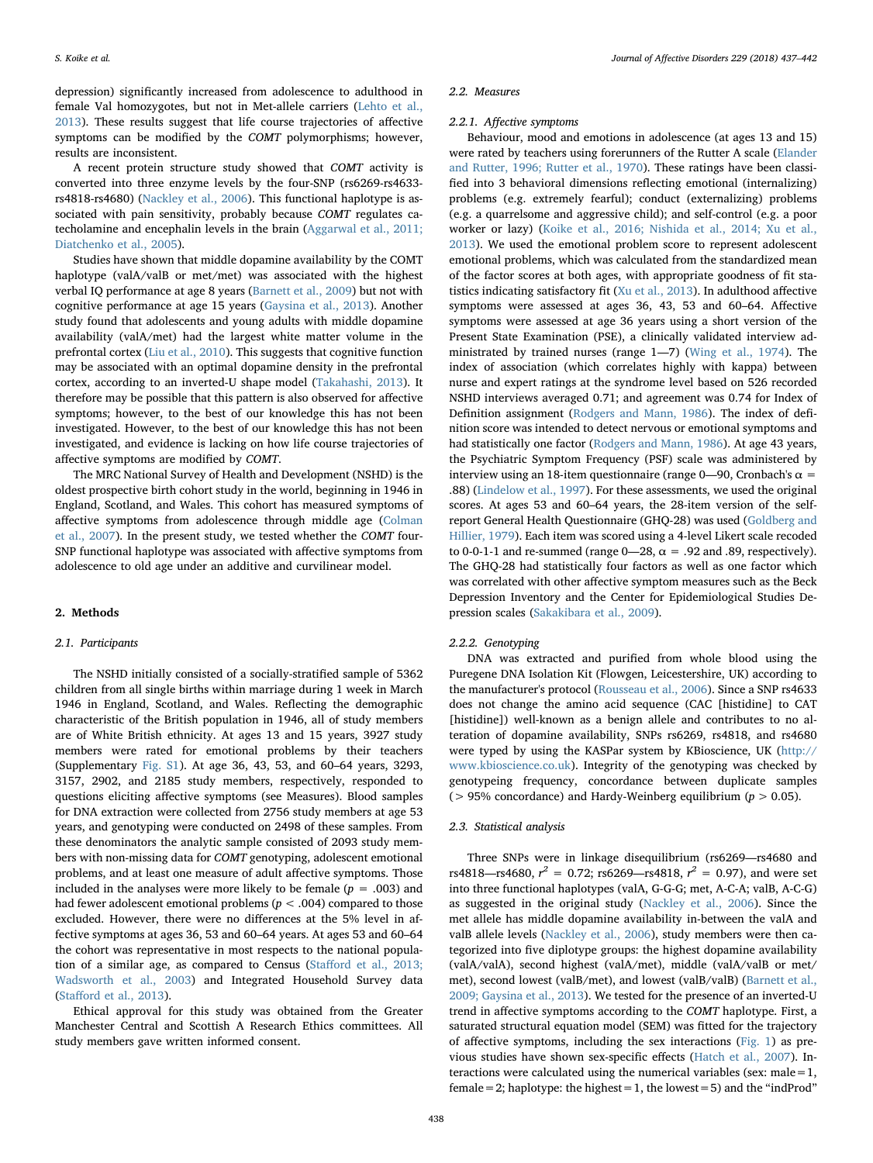depression) significantly increased from adolescence to adulthood in female Val homozygotes, but not in Met-allele carriers [\(Lehto et al.,](#page-4-5) [2013\)](#page-4-5). These results suggest that life course trajectories of affective symptoms can be modified by the COMT polymorphisms; however, results are inconsistent.

A recent protein structure study showed that COMT activity is converted into three enzyme levels by the four-SNP (rs6269-rs4633 rs4818-rs4680) [\(Nackley et al., 2006](#page-4-6)). This functional haplotype is associated with pain sensitivity, probably because COMT regulates catecholamine and encephalin levels in the brain ([Aggarwal et al., 2011;](#page-4-7) [Diatchenko et al., 2005](#page-4-7)).

Studies have shown that middle dopamine availability by the COMT haplotype (valA/valB or met/met) was associated with the highest verbal IQ performance at age 8 years [\(Barnett et al., 2009](#page-4-8)) but not with cognitive performance at age 15 years [\(Gaysina et al., 2013](#page-4-9)). Another study found that adolescents and young adults with middle dopamine availability (valA/met) had the largest white matter volume in the prefrontal cortex ([Liu et al., 2010\)](#page-4-10). This suggests that cognitive function may be associated with an optimal dopamine density in the prefrontal cortex, according to an inverted-U shape model ([Takahashi, 2013](#page-5-1)). It therefore may be possible that this pattern is also observed for affective symptoms; however, to the best of our knowledge this has not been investigated. However, to the best of our knowledge this has not been investigated, and evidence is lacking on how life course trajectories of affective symptoms are modified by COMT.

The MRC National Survey of Health and Development (NSHD) is the oldest prospective birth cohort study in the world, beginning in 1946 in England, Scotland, and Wales. This cohort has measured symptoms of affective symptoms from adolescence through middle age ([Colman](#page-4-11) [et al., 2007\)](#page-4-11). In the present study, we tested whether the COMT four-SNP functional haplotype was associated with affective symptoms from adolescence to old age under an additive and curvilinear model.

# 2. Methods

### 2.1. Participants

The NSHD initially consisted of a socially-stratified sample of 5362 children from all single births within marriage during 1 week in March 1946 in England, Scotland, and Wales. Reflecting the demographic characteristic of the British population in 1946, all of study members are of White British ethnicity. At ages 13 and 15 years, 3927 study members were rated for emotional problems by their teachers (Supplementary Fig. S1). At age 36, 43, 53, and 60–64 years, 3293, 3157, 2902, and 2185 study members, respectively, responded to questions eliciting affective symptoms (see Measures). Blood samples for DNA extraction were collected from 2756 study members at age 53 years, and genotyping were conducted on 2498 of these samples. From these denominators the analytic sample consisted of 2093 study members with non-missing data for COMT genotyping, adolescent emotional problems, and at least one measure of adult affective symptoms. Those included in the analyses were more likely to be female ( $p = .003$ ) and had fewer adolescent emotional problems ( $p < .004$ ) compared to those excluded. However, there were no differences at the 5% level in affective symptoms at ages 36, 53 and 60–64 years. At ages 53 and 60–64 the cohort was representative in most respects to the national population of a similar age, as compared to Census (Staff[ord et al., 2013;](#page-5-2) [Wadsworth et al., 2003](#page-5-2)) and Integrated Household Survey data (Staff[ord et al., 2013](#page-5-2)).

Ethical approval for this study was obtained from the Greater Manchester Central and Scottish A Research Ethics committees. All study members gave written informed consent.

#### 2.2. Measures

#### 2.2.1. Affective symptoms

Behaviour, mood and emotions in adolescence (at ages 13 and 15) were rated by teachers using forerunners of the Rutter A scale ([Elander](#page-4-12) [and Rutter, 1996; Rutter et al., 1970\)](#page-4-12). These ratings have been classified into 3 behavioral dimensions reflecting emotional (internalizing) problems (e.g. extremely fearful); conduct (externalizing) problems (e.g. a quarrelsome and aggressive child); and self-control (e.g. a poor worker or lazy) ([Koike et al., 2016; Nishida et al., 2014; Xu et al.,](#page-4-13) [2013\)](#page-4-13). We used the emotional problem score to represent adolescent emotional problems, which was calculated from the standardized mean of the factor scores at both ages, with appropriate goodness of fit statistics indicating satisfactory fit ([Xu et al., 2013\)](#page-5-3). In adulthood affective symptoms were assessed at ages 36, 43, 53 and 60–64. Affective symptoms were assessed at age 36 years using a short version of the Present State Examination (PSE), a clinically validated interview administrated by trained nurses (range 1―7) ([Wing et al., 1974\)](#page-5-4). The index of association (which correlates highly with kappa) between nurse and expert ratings at the syndrome level based on 526 recorded NSHD interviews averaged 0.71; and agreement was 0.74 for Index of Definition assignment [\(Rodgers and Mann, 1986](#page-5-5)). The index of definition score was intended to detect nervous or emotional symptoms and had statistically one factor [\(Rodgers and Mann, 1986\)](#page-5-5). At age 43 years, the Psychiatric Symptom Frequency (PSF) scale was administered by interview using an 18-item questionnaire (range 0—90, Cronbach's  $\alpha$  = .88) ([Lindelow et al., 1997\)](#page-4-14). For these assessments, we used the original scores. At ages 53 and 60–64 years, the 28-item version of the selfreport General Health Questionnaire (GHQ-28) was used [\(Goldberg and](#page-4-15) [Hillier,](#page-4-15) 1979). Each item was scored using a 4-level Likert scale recoded to 0-0-1-1 and re-summed (range  $0$ —28,  $\alpha$  = .92 and .89, respectively). The GHQ-28 had statistically four factors as well as one factor which was correlated with other affective symptom measures such as the Beck Depression Inventory and the Center for Epidemiological Studies Depression scales [\(Sakakibara et al., 2009\)](#page-5-6).

#### 2.2.2. Genotyping

DNA was extracted and purified from whole blood using the Puregene DNA Isolation Kit (Flowgen, Leicestershire, UK) according to the manufacturer's protocol [\(Rousseau et al., 2006\)](#page-5-7). Since a SNP rs4633 does not change the amino acid sequence (CAC [histidine] to CAT [histidine]) well-known as a benign allele and contributes to no alteration of dopamine availability, SNPs rs6269, rs4818, and rs4680 were typed by using the KASPar system by KBioscience, UK [\(http://](http://www.kbioscience.co.uk) [www.kbioscience.co.uk\)](http://www.kbioscience.co.uk). Integrity of the genotyping was checked by genotypeing frequency, concordance between duplicate samples ( $> 95\%$  concordance) and Hardy-Weinberg equilibrium ( $p > 0.05$ ).

#### 2.3. Statistical analysis

Three SNPs were in linkage disequilibrium (rs6269―rs4680 and rs4818—rs4680,  $r^2 = 0.72$ ; rs6269—rs4818,  $r^2 = 0.97$ ), and were set into three functional haplotypes (valA, G-G-G; met, A-C-A; valB, A-C-G) as suggested in the original study [\(Nackley et al., 2006\)](#page-4-6). Since the met allele has middle dopamine availability in-between the valA and valB allele levels [\(Nackley et al., 2006](#page-4-6)), study members were then categorized into five diplotype groups: the highest dopamine availability (valA/valA), second highest (valA/met), middle (valA/valB or met/ met), second lowest (valB/met), and lowest (valB/valB) [\(Barnett et al.,](#page-4-8) [2009; Gaysina et al., 2013\)](#page-4-8). We tested for the presence of an inverted-U trend in affective symptoms according to the COMT haplotype. First, a saturated structural equation model (SEM) was fitted for the trajectory of affective symptoms, including the sex interactions ([Fig. 1\)](#page-2-0) as previous studies have shown sex-specific effects ([Hatch et al., 2007\)](#page-4-16). Interactions were calculated using the numerical variables (sex: male  $=1$ ,  $female = 2$ ; haplotype: the highest = 1, the lowest = 5) and the "indProd"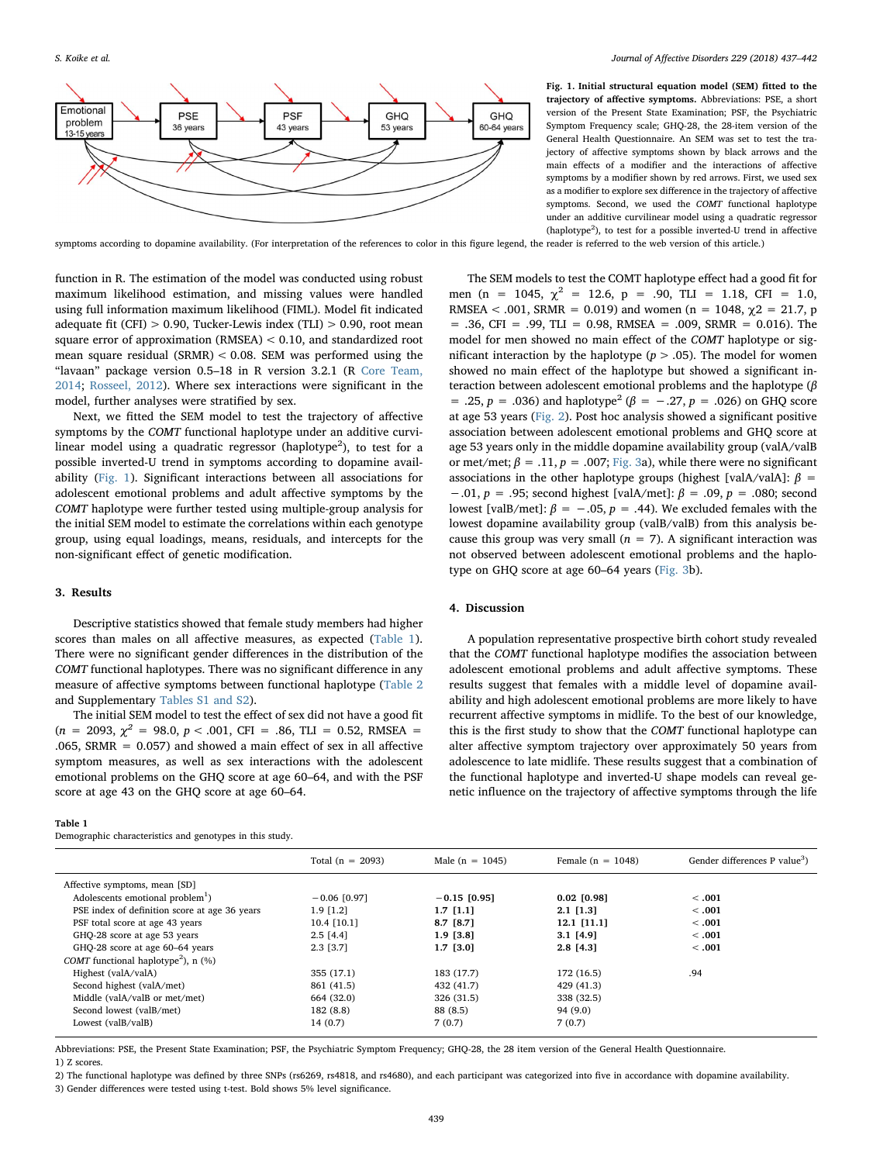<span id="page-2-0"></span>

S. Koike et al. *Journal of Affective Disorders 229 (2018) 437–442*

Fig. 1. Initial structural equation model (SEM) fitted to the trajectory of affective symptoms. Abbreviations: PSE, a short version of the Present State Examination; PSF, the Psychiatric Symptom Frequency scale; GHQ-28, the 28-item version of the General Health Questionnaire. An SEM was set to test the trajectory of affective symptoms shown by black arrows and the main effects of a modifier and the interactions of affective symptoms by a modifier shown by red arrows. First, we used sex as a modifier to explore sex difference in the trajectory of affective symptoms. Second, we used the COMT functional haplotype under an additive curvilinear model using a quadratic regressor  $(haplotype<sup>2</sup>)$ , to test for a possible inverted-U trend in affective

symptoms according to dopamine availability. (For interpretation of the references to color in this figure legend, the reader is referred to the web version of this article.)

function in R. The estimation of the model was conducted using robust maximum likelihood estimation, and missing values were handled using full information maximum likelihood (FIML). Model fit indicated adequate fit (CFI)  $> 0.90$ , Tucker-Lewis index (TLI)  $> 0.90$ , root mean square error of approximation (RMSEA) < 0.10, and standardized root mean square residual (SRMR) < 0.08. SEM was performed using the "lavaan" package version 0.5–18 in R version 3.2.1 (R [Core Team,](#page-5-8) [2014;](#page-5-8) [Rosseel, 2012](#page-5-9)). Where sex interactions were significant in the model, further analyses were stratified by sex.

Next, we fitted the SEM model to test the trajectory of affective symptoms by the COMT functional haplotype under an additive curvilinear model using a quadratic regressor (haplotype<sup>2</sup>), to test for a possible inverted-U trend in symptoms according to dopamine availability [\(Fig. 1](#page-2-0)). Significant interactions between all associations for adolescent emotional problems and adult affective symptoms by the COMT haplotype were further tested using multiple-group analysis for the initial SEM model to estimate the correlations within each genotype group, using equal loadings, means, residuals, and intercepts for the non-significant effect of genetic modification.

# 3. Results

Descriptive statistics showed that female study members had higher scores than males on all affective measures, as expected [\(Table 1](#page-2-1)). There were no significant gender differences in the distribution of the COMT functional haplotypes. There was no significant difference in any measure of affective symptoms between functional haplotype ([Table 2](#page-3-0) and Supplementary Tables S1 and S2).

The initial SEM model to test the effect of sex did not have a good fit  $(n = 2093, \chi^2 = 98.0, p < .001, CFI = .86, TLI = 0.52, RMSEA =$ .065, SRMR = 0.057) and showed a main effect of sex in all affective symptom measures, as well as sex interactions with the adolescent emotional problems on the GHQ score at age 60–64, and with the PSF score at age 43 on the GHQ score at age 60–64.

#### <span id="page-2-1"></span>Table 1

Demographic characteristics and genotypes in this study.

The SEM models to test the COMT haplotype effect had a good fit for men (n = 1045,  $\chi^2$  = 12.6, p = .90, TLI = 1.18, CFI = 1.0, RMSEA < .001, SRMR = 0.019) and women (n = 1048,  $\gamma$ 2 = 21.7, p  $= .36$ , CFI = .99, TLI = 0.98, RMSEA = .009, SRMR = 0.016). The model for men showed no main effect of the COMT haplotype or significant interaction by the haplotype ( $p > .05$ ). The model for women showed no main effect of the haplotype but showed a significant interaction between adolescent emotional problems and the haplotype (β = .25,  $p = .036$ ) and haplotype<sup>2</sup> ( $\beta = -.27$ ,  $p = .026$ ) on GHQ score at age 53 years [\(Fig. 2](#page-3-1)). Post hoc analysis showed a significant positive association between adolescent emotional problems and GHQ score at age 53 years only in the middle dopamine availability group (valA/valB or met/met;  $\beta = .11$ ,  $p = .007$ ; [Fig. 3a](#page-4-17)), while there were no significant associations in the other haplotype groups (highest [valA/valA]:  $\beta$  = −.01, p = .95; second highest [valA/met]:  $\beta$  = .09, p = .080; second lowest [valB/met]:  $\beta = -.05, p = .44$ ). We excluded females with the lowest dopamine availability group (valB/valB) from this analysis because this group was very small ( $n = 7$ ). A significant interaction was not observed between adolescent emotional problems and the haplotype on GHQ score at age 60–64 years ([Fig. 3](#page-4-17)b).

### 4. Discussion

A population representative prospective birth cohort study revealed that the COMT functional haplotype modifies the association between adolescent emotional problems and adult affective symptoms. These results suggest that females with a middle level of dopamine availability and high adolescent emotional problems are more likely to have recurrent affective symptoms in midlife. To the best of our knowledge, this is the first study to show that the COMT functional haplotype can alter affective symptom trajectory over approximately 50 years from adolescence to late midlife. These results suggest that a combination of the functional haplotype and inverted-U shape models can reveal genetic influence on the trajectory of affective symptoms through the life

|                                                           | Total ( $n = 2093$ ) | Male ( $n = 1045$ ) | Female $(n = 1048)$ | Gender differences P value <sup>3</sup> ) |
|-----------------------------------------------------------|----------------------|---------------------|---------------------|-------------------------------------------|
| Affective symptoms, mean [SD]                             |                      |                     |                     |                                           |
| Adolescents emotional problem <sup>1</sup> )              | $-0.06$ [0.97]       | $-0.15$ [0.95]      | $0.02$ [0.98]       | <.001                                     |
| PSE index of definition score at age 36 years             | 1.9 [1.2]            | $1.7$ [1.1]         | $2.1$ [1.3]         | < 0.001                                   |
| PSF total score at age 43 years                           | 10.4 [10.1]          | 8.7 [8.7]           | 12.1 [11.1]         | < 0.001                                   |
| GHQ-28 score at age 53 years                              | $2.5$ [4.4]          | 1.9 [3.8]           | $3.1$ [4.9]         | < 0.001                                   |
| GHQ-28 score at age 60–64 years                           | 2.3 [3.7]            | 1.7 [3.0]           | $2.8$ [4.3]         | < 0.001                                   |
| <i>COMT</i> functional haplotype <sup>2</sup> ), n $(\%)$ |                      |                     |                     |                                           |
| Highest (valA/valA)                                       | 355 (17.1)           | 183 (17.7)          | 172 (16.5)          | .94                                       |
| Second highest (valA/met)                                 | 861 (41.5)           | 432 (41.7)          | 429 (41.3)          |                                           |
| Middle (valA/valB or met/met)                             | 664 (32.0)           | 326 (31.5)          | 338 (32.5)          |                                           |
| Second lowest (valB/met)                                  | 182 (8.8)            | 88 (8.5)            | 94(9.0)             |                                           |
| Lowest (valB/valB)                                        | 14(0.7)              | 7(0.7)              | 7(0.7)              |                                           |
|                                                           |                      |                     |                     |                                           |

Abbreviations: PSE, the Present State Examination; PSF, the Psychiatric Symptom Frequency; GHQ-28, the 28 item version of the General Health Questionnaire.

1) Z scores.

2) The functional haplotype was defined by three SNPs (rs6269, rs4818, and rs4680), and each participant was categorized into five in accordance with dopamine availability. 3) Gender differences were tested using t-test. Bold shows 5% level significance.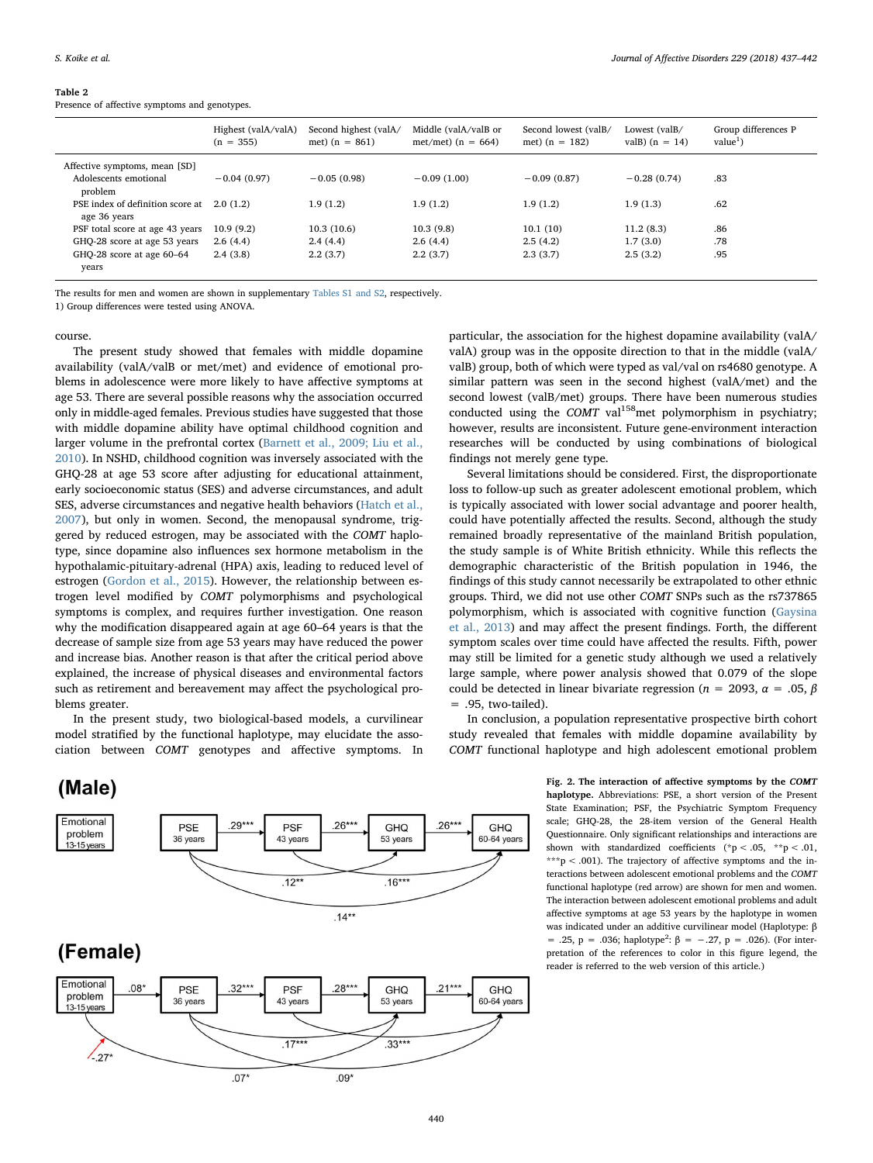#### <span id="page-3-0"></span>Table 2

Presence of affective symptoms and genotypes.

|                                                            | Highest (valA/valA)<br>$(n = 355)$ | Second highest (valA/<br>met) $(n = 861)$ | Middle (valA/valB or<br>met/met) $(n = 664)$ | Second lowest (valB/<br>met) $(n = 182)$ | Lowest (valB/<br>val $B$ ) (n = 14) | Group differences P<br>value <sup>1</sup> |
|------------------------------------------------------------|------------------------------------|-------------------------------------------|----------------------------------------------|------------------------------------------|-------------------------------------|-------------------------------------------|
| Affective symptoms, mean [SD]                              |                                    |                                           |                                              |                                          |                                     |                                           |
| Adolescents emotional<br>problem                           | $-0.04(0.97)$                      | $-0.05(0.98)$                             | $-0.09(1.00)$                                | $-0.09(0.87)$                            | $-0.28(0.74)$                       | .83                                       |
| PSE index of definition score at 2.0 (1.2)<br>age 36 years |                                    | 1.9(1.2)                                  | 1.9(1.2)                                     | 1.9(1.2)                                 | 1.9(1.3)                            | .62                                       |
| PSF total score at age 43 years                            | 10.9(9.2)                          | 10.3(10.6)                                | 10.3(9.8)                                    | 10.1(10)                                 | 11.2(8.3)                           | .86                                       |
| GHQ-28 score at age 53 years                               | 2.6(4.4)                           | 2.4(4.4)                                  | 2.6(4.4)                                     | 2.5(4.2)                                 | 1.7(3.0)                            | .78                                       |
| GHQ-28 score at age 60-64<br>years                         | 2.4(3.8)                           | 2.2(3.7)                                  | 2.2(3.7)                                     | 2.3(3.7)                                 | 2.5(3.2)                            | .95                                       |

The results for men and women are shown in supplementary Tables S1 and S2, respectively.

1) Group differences were tested using ANOVA.

#### course.

The present study showed that females with middle dopamine availability (valA/valB or met/met) and evidence of emotional problems in adolescence were more likely to have affective symptoms at age 53. There are several possible reasons why the association occurred only in middle-aged females. Previous studies have suggested that those with middle dopamine ability have optimal childhood cognition and larger volume in the prefrontal cortex ([Barnett et al., 2009; Liu et al.,](#page-4-8) [2010\)](#page-4-8). In NSHD, childhood cognition was inversely associated with the GHQ-28 at age 53 score after adjusting for educational attainment, early socioeconomic status (SES) and adverse circumstances, and adult SES, adverse circumstances and negative health behaviors [\(Hatch et al.,](#page-4-16) [2007\)](#page-4-16), but only in women. Second, the menopausal syndrome, triggered by reduced estrogen, may be associated with the COMT haplotype, since dopamine also influences sex hormone metabolism in the hypothalamic-pituitary-adrenal (HPA) axis, leading to reduced level of estrogen [\(Gordon et al., 2015](#page-4-18)). However, the relationship between estrogen level modified by COMT polymorphisms and psychological symptoms is complex, and requires further investigation. One reason why the modification disappeared again at age 60–64 years is that the decrease of sample size from age 53 years may have reduced the power and increase bias. Another reason is that after the critical period above explained, the increase of physical diseases and environmental factors such as retirement and bereavement may affect the psychological problems greater.

In the present study, two biological-based models, a curvilinear model stratified by the functional haplotype, may elucidate the association between COMT genotypes and affective symptoms. In

# <span id="page-3-1"></span>(Male)



particular, the association for the highest dopamine availability (valA/ valA) group was in the opposite direction to that in the middle (valA/ valB) group, both of which were typed as val/val on rs4680 genotype. A similar pattern was seen in the second highest (valA/met) and the second lowest (valB/met) groups. There have been numerous studies conducted using the COMT val<sup>158</sup>met polymorphism in psychiatry; however, results are inconsistent. Future gene-environment interaction researches will be conducted by using combinations of biological findings not merely gene type.

Several limitations should be considered. First, the disproportionate loss to follow-up such as greater adolescent emotional problem, which is typically associated with lower social advantage and poorer health, could have potentially affected the results. Second, although the study remained broadly representative of the mainland British population, the study sample is of White British ethnicity. While this reflects the demographic characteristic of the British population in 1946, the findings of this study cannot necessarily be extrapolated to other ethnic groups. Third, we did not use other COMT SNPs such as the rs737865 polymorphism, which is associated with cognitive function ([Gaysina](#page-4-9) [et al., 2013](#page-4-9)) and may affect the present findings. Forth, the different symptom scales over time could have affected the results. Fifth, power may still be limited for a genetic study although we used a relatively large sample, where power analysis showed that 0.079 of the slope could be detected in linear bivariate regression ( $n = 2093$ ,  $\alpha = .05$ ,  $\beta$ = .95, two-tailed).

In conclusion, a population representative prospective birth cohort study revealed that females with middle dopamine availability by COMT functional haplotype and high adolescent emotional problem

> Fig. 2. The interaction of affective symptoms by the COMT haplotype. Abbreviations: PSE, a short version of the Present State Examination; PSF, the Psychiatric Symptom Frequency scale; GHQ-28, the 28-item version of the General Health Questionnaire. Only significant relationships and interactions are shown with standardized coefficients (\*p < .05, \*\*p < .01, \*\*\*p < .001). The trajectory of affective symptoms and the interactions between adolescent emotional problems and the COMT functional haplotype (red arrow) are shown for men and women. The interaction between adolescent emotional problems and adult affective symptoms at age 53 years by the haplotype in women was indicated under an additive curvilinear model (Haplotype: β = .25, p = .036; haplotype<sup>2</sup>: β = -.27, p = .026). (For interpretation of the references to color in this figure legend, the reader is referred to the web version of this article.)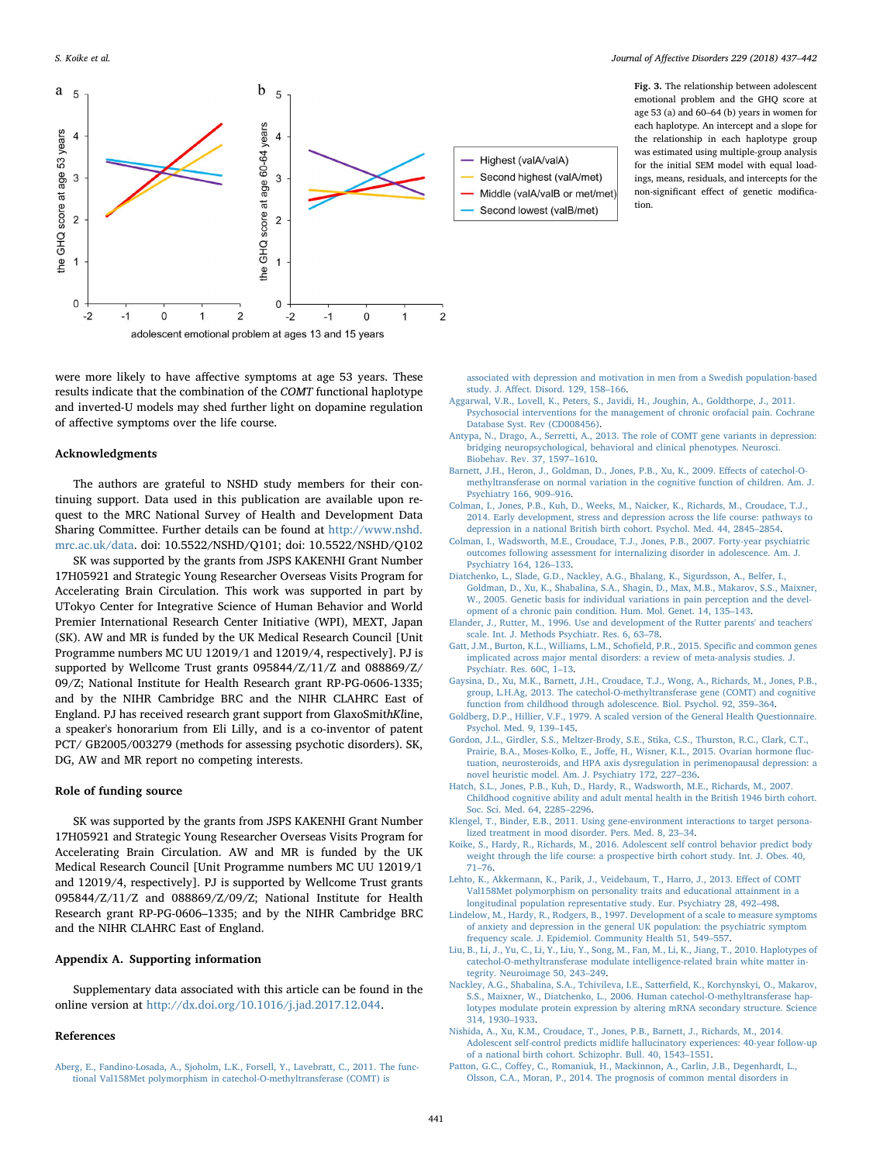S. Koike et al. *Journal of Affective Disorders 229 (2018) 437–442*

<span id="page-4-17"></span>

were more likely to have affective symptoms at age 53 years. These results indicate that the combination of the COMT functional haplotype and inverted-U models may shed further light on dopamine regulation of affective symptoms over the life course.

#### Acknowledgments

The authors are grateful to NSHD study members for their continuing support. Data used in this publication are available upon request to the MRC National Survey of Health and Development Data Sharing Committee. Further details can be found at [http://www.nshd.](http://www.nshd.mrc.ac.uk/data) [mrc.ac.uk/data](http://www.nshd.mrc.ac.uk/data). doi: 10.5522/NSHD/Q101; doi: 10.5522/NSHD/Q102

SK was supported by the grants from JSPS KAKENHI Grant Number 17H05921 and Strategic Young Researcher Overseas Visits Program for Accelerating Brain Circulation. This work was supported in part by UTokyo Center for Integrative Science of Human Behavior and World Premier International Research Center Initiative (WPI), MEXT, Japan (SK). AW and MR is funded by the UK Medical Research Council [Unit Programme numbers MC UU 12019/1 and 12019/4, respectively]. PJ is supported by Wellcome Trust grants 095844/Z/11/Z and 088869/Z/ 09/Z; National Institute for Health Research grant RP-PG-0606-1335; and by the NIHR Cambridge BRC and the NIHR CLAHRC East of England. PJ has received research grant support from GlaxoSmithKline, a speaker's honorarium from Eli Lilly, and is a co-inventor of patent PCT/ GB2005/003279 (methods for assessing psychotic disorders). SK, DG, AW and MR report no competing interests.

# Role of funding source

SK was supported by the grants from JSPS KAKENHI Grant Number 17H05921 and Strategic Young Researcher Overseas Visits Program for Accelerating Brain Circulation. AW and MR is funded by the UK Medical Research Council [Unit Programme numbers MC UU 12019/1 and 12019/4, respectively]. PJ is supported by Wellcome Trust grants 095844/Z/11/Z and 088869/Z/09/Z; National Institute for Health Research grant RP-PG-0606–1335; and by the NIHR Cambridge BRC and the NIHR CLAHRC East of England.

### Appendix A. Supporting information

Supplementary data associated with this article can be found in the online version at [http://dx.doi.org/10.1016/j.jad.2017.12.044.](http://dx.doi.org//10.1016/j.jad.2017.12.044)

# References

<span id="page-4-4"></span>[Aberg, E., Fandino-Losada, A., Sjoholm, L.K., Forsell, Y., Lavebratt, C., 2011. The func](http://refhub.elsevier.com/S0165-0327(17)32310-8/sbref1)[tional Val158Met polymorphism in catechol-O-methyltransferase \(COMT\) is](http://refhub.elsevier.com/S0165-0327(17)32310-8/sbref1)

the relationship in each haplotype group was estimated using multiple-group analysis for the initial SEM model with equal loadings, means, residuals, and intercepts for the non-significant effect of genetic modification.

Fig. 3. The relationship between adolescent

- [associated with depression and motivation in men from a Swedish population-based](http://refhub.elsevier.com/S0165-0327(17)32310-8/sbref1) study. J. Aff[ect. Disord. 129, 158](http://refhub.elsevier.com/S0165-0327(17)32310-8/sbref1)–166.
- <span id="page-4-7"></span>[Aggarwal, V.R., Lovell, K., Peters, S., Javidi, H., Joughin, A., Goldthorpe, J., 2011.](http://refhub.elsevier.com/S0165-0327(17)32310-8/sbref2) [Psychosocial interventions for the management of chronic orofacial pain. Cochrane](http://refhub.elsevier.com/S0165-0327(17)32310-8/sbref2) [Database Syst. Rev \(CD008456\)](http://refhub.elsevier.com/S0165-0327(17)32310-8/sbref2).
- <span id="page-4-2"></span>[Antypa, N., Drago, A., Serretti, A., 2013. The role of COMT gene variants in depression:](http://refhub.elsevier.com/S0165-0327(17)32310-8/sbref3) [bridging neuropsychological, behavioral and clinical phenotypes. Neurosci.](http://refhub.elsevier.com/S0165-0327(17)32310-8/sbref3) [Biobehav. Rev. 37, 1597](http://refhub.elsevier.com/S0165-0327(17)32310-8/sbref3)–1610.
- <span id="page-4-8"></span>[Barnett, J.H., Heron, J., Goldman, D., Jones, P.B., Xu, K., 2009. E](http://refhub.elsevier.com/S0165-0327(17)32310-8/sbref4)ffects of catechol-O[methyltransferase on normal variation in the cognitive function of children. Am. J.](http://refhub.elsevier.com/S0165-0327(17)32310-8/sbref4) [Psychiatry 166, 909](http://refhub.elsevier.com/S0165-0327(17)32310-8/sbref4)–916.
- <span id="page-4-1"></span>[Colman, I., Jones, P.B., Kuh, D., Weeks, M., Naicker, K., Richards, M., Croudace, T.J.,](http://refhub.elsevier.com/S0165-0327(17)32310-8/sbref5) [2014. Early development, stress and depression across the life course: pathways to](http://refhub.elsevier.com/S0165-0327(17)32310-8/sbref5) [depression in a national British birth cohort. Psychol. Med. 44, 2845](http://refhub.elsevier.com/S0165-0327(17)32310-8/sbref5)–2854.
- <span id="page-4-11"></span>[Colman, I., Wadsworth, M.E., Croudace, T.J., Jones, P.B., 2007. Forty-year psychiatric](http://refhub.elsevier.com/S0165-0327(17)32310-8/sbref6) [outcomes following assessment for internalizing disorder in adolescence. Am. J.](http://refhub.elsevier.com/S0165-0327(17)32310-8/sbref6) [Psychiatry 164, 126](http://refhub.elsevier.com/S0165-0327(17)32310-8/sbref6)–133.
- [Diatchenko, L., Slade, G.D., Nackley, A.G., Bhalang, K., Sigurdsson, A., Belfer, I.,](http://refhub.elsevier.com/S0165-0327(17)32310-8/sbref7) [Goldman, D., Xu, K., Shabalina, S.A., Shagin, D., Max, M.B., Makarov, S.S., Maixner,](http://refhub.elsevier.com/S0165-0327(17)32310-8/sbref7) [W., 2005. Genetic basis for individual variations in pain perception and the devel](http://refhub.elsevier.com/S0165-0327(17)32310-8/sbref7)[opment of a chronic pain condition. Hum. Mol. Genet. 14, 135](http://refhub.elsevier.com/S0165-0327(17)32310-8/sbref7)–143.
- <span id="page-4-12"></span>[Elander, J., Rutter, M., 1996. Use and development of the Rutter parents' and teachers'](http://refhub.elsevier.com/S0165-0327(17)32310-8/sbref8) [scale. Int. J. Methods Psychiatr. Res. 6, 63](http://refhub.elsevier.com/S0165-0327(17)32310-8/sbref8)–78.
- [Gatt, J.M., Burton, K.L., Williams, L.M., Scho](http://refhub.elsevier.com/S0165-0327(17)32310-8/sbref9)field, P.R., 2015. Specific and common genes [implicated across major mental disorders: a review of meta-analysis studies. J.](http://refhub.elsevier.com/S0165-0327(17)32310-8/sbref9) [Psychiatr. Res. 60C, 1](http://refhub.elsevier.com/S0165-0327(17)32310-8/sbref9)–13.
- <span id="page-4-9"></span>[Gaysina, D., Xu, M.K., Barnett, J.H., Croudace, T.J., Wong, A., Richards, M., Jones, P.B.,](http://refhub.elsevier.com/S0165-0327(17)32310-8/sbref10) [group, L.H.Ag, 2013. The catechol-O-methyltransferase gene \(COMT\) and cognitive](http://refhub.elsevier.com/S0165-0327(17)32310-8/sbref10) [function from childhood through adolescence. Biol. Psychol. 92, 359](http://refhub.elsevier.com/S0165-0327(17)32310-8/sbref10)–364.
- <span id="page-4-15"></span>[Goldberg, D.P., Hillier, V.F., 1979. A scaled version of the General Health Questionnaire.](http://refhub.elsevier.com/S0165-0327(17)32310-8/sbref11) [Psychol. Med. 9, 139](http://refhub.elsevier.com/S0165-0327(17)32310-8/sbref11)–145.
- <span id="page-4-18"></span>[Gordon, J.L., Girdler, S.S., Meltzer-Brody, S.E., Stika, C.S., Thurston, R.C., Clark, C.T.,](http://refhub.elsevier.com/S0165-0327(17)32310-8/sbref12) Prairie, B.A., Moses-Kolko, E., Joff[e, H., Wisner, K.L., 2015. Ovarian hormone](http://refhub.elsevier.com/S0165-0327(17)32310-8/sbref12) fluc[tuation, neurosteroids, and HPA axis dysregulation in perimenopausal depression: a](http://refhub.elsevier.com/S0165-0327(17)32310-8/sbref12) [novel heuristic model. Am. J. Psychiatry 172, 227](http://refhub.elsevier.com/S0165-0327(17)32310-8/sbref12)–236.
- <span id="page-4-16"></span>[Hatch, S.L., Jones, P.B., Kuh, D., Hardy, R., Wadsworth, M.E., Richards, M., 2007.](http://refhub.elsevier.com/S0165-0327(17)32310-8/sbref13) [Childhood cognitive ability and adult mental health in the British 1946 birth cohort.](http://refhub.elsevier.com/S0165-0327(17)32310-8/sbref13) [Soc. Sci. Med. 64, 2285](http://refhub.elsevier.com/S0165-0327(17)32310-8/sbref13)–2296.
- <span id="page-4-3"></span>[Klengel, T., Binder, E.B., 2011. Using gene-environment interactions to target persona](http://refhub.elsevier.com/S0165-0327(17)32310-8/sbref14)[lized treatment in mood disorder. Pers. Med. 8, 23](http://refhub.elsevier.com/S0165-0327(17)32310-8/sbref14)–34.
- <span id="page-4-13"></span>[Koike, S., Hardy, R., Richards, M., 2016. Adolescent self control behavior predict body](http://refhub.elsevier.com/S0165-0327(17)32310-8/sbref15) [weight through the life course: a prospective birth cohort study. Int. J. Obes. 40,](http://refhub.elsevier.com/S0165-0327(17)32310-8/sbref15) 71–[76](http://refhub.elsevier.com/S0165-0327(17)32310-8/sbref15).
- <span id="page-4-5"></span>[Lehto, K., Akkermann, K., Parik, J., Veidebaum, T., Harro, J., 2013. E](http://refhub.elsevier.com/S0165-0327(17)32310-8/sbref16)ffect of COMT [Val158Met polymorphism on personality traits and educational attainment in a](http://refhub.elsevier.com/S0165-0327(17)32310-8/sbref16) longitudinal [population representative study. Eur. Psychiatry 28, 492](http://refhub.elsevier.com/S0165-0327(17)32310-8/sbref16)–498.
- <span id="page-4-14"></span>[Lindelow, M., Hardy, R., Rodgers, B., 1997. Development of a scale to measure symptoms](http://refhub.elsevier.com/S0165-0327(17)32310-8/sbref17) [of anxiety and depression in the general UK population: the psychiatric symptom](http://refhub.elsevier.com/S0165-0327(17)32310-8/sbref17) [frequency scale. J. Epidemiol. Community Health 51, 549](http://refhub.elsevier.com/S0165-0327(17)32310-8/sbref17)–557.
- <span id="page-4-10"></span>[Liu, B., Li, J., Yu, C., Li, Y., Liu, Y., Song, M., Fan, M., Li, K., Jiang, T., 2010. Haplotypes of](http://refhub.elsevier.com/S0165-0327(17)32310-8/sbref18) [catechol-O-methyltransferase modulate intelligence-related brain white matter in](http://refhub.elsevier.com/S0165-0327(17)32310-8/sbref18)[tegrity. Neuroimage 50, 243](http://refhub.elsevier.com/S0165-0327(17)32310-8/sbref18)–249.
- <span id="page-4-6"></span>[Nackley, A.G., Shabalina, S.A., Tchivileva, I.E., Satter](http://refhub.elsevier.com/S0165-0327(17)32310-8/sbref19)field, K., Korchynskyi, O., Makarov, [S.S., Maixner, W., Diatchenko, L., 2006. Human catechol-O-methyltransferase hap](http://refhub.elsevier.com/S0165-0327(17)32310-8/sbref19)[lotypes modulate protein expression by altering mRNA secondary structure. Science](http://refhub.elsevier.com/S0165-0327(17)32310-8/sbref19) [314, 1930](http://refhub.elsevier.com/S0165-0327(17)32310-8/sbref19)–1933.
- [Nishida, A., Xu, K.M., Croudace, T., Jones, P.B., Barnett, J., Richards, M., 2014.](http://refhub.elsevier.com/S0165-0327(17)32310-8/sbref20) [Adolescent self-control predicts midlife hallucinatory experiences: 40-year follow-up](http://refhub.elsevier.com/S0165-0327(17)32310-8/sbref20) [of a national birth cohort. Schizophr. Bull. 40, 1543](http://refhub.elsevier.com/S0165-0327(17)32310-8/sbref20)–1551.
- <span id="page-4-0"></span>Patton, G.C., Coff[ey, C., Romaniuk, H., Mackinnon, A., Carlin, J.B., Degenhardt, L.,](http://refhub.elsevier.com/S0165-0327(17)32310-8/sbref21) [Olsson, C.A., Moran, P., 2014. The prognosis of common mental disorders in](http://refhub.elsevier.com/S0165-0327(17)32310-8/sbref21)